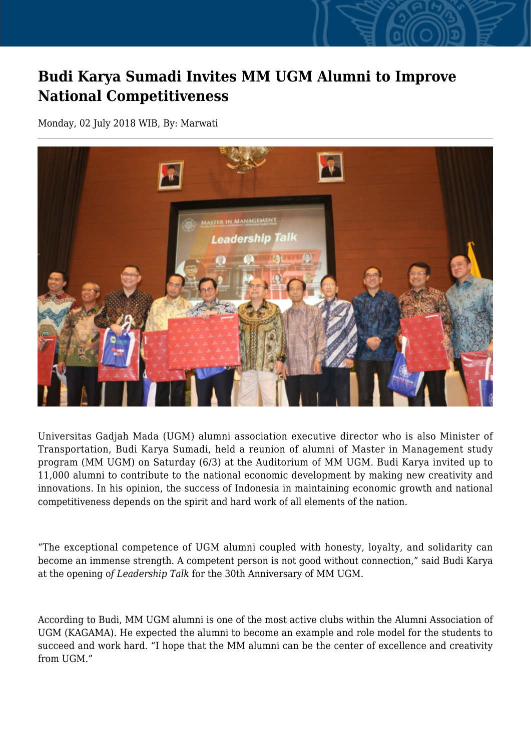## **Budi Karya Sumadi Invites MM UGM Alumni to Improve National Competitiveness**

Monday, 02 July 2018 WIB, By: Marwati



Universitas Gadjah Mada (UGM) alumni association executive director who is also Minister of Transportation, Budi Karya Sumadi, held a reunion of alumni of Master in Management study program (MM UGM) on Saturday (6/3) at the Auditorium of MM UGM. Budi Karya invited up to 11,000 alumni to contribute to the national economic development by making new creativity and innovations. In his opinion, the success of Indonesia in maintaining economic growth and national competitiveness depends on the spirit and hard work of all elements of the nation.

"The exceptional competence of UGM alumni coupled with honesty, loyalty, and solidarity can become an immense strength. A competent person is not good without connection," said Budi Karya at the opening o*f Leadership Talk* for the 30th Anniversary of MM UGM.

According to Budi, MM UGM alumni is one of the most active clubs within the Alumni Association of UGM (KAGAMA). He expected the alumni to become an example and role model for the students to succeed and work hard. "I hope that the MM alumni can be the center of excellence and creativity from UGM"